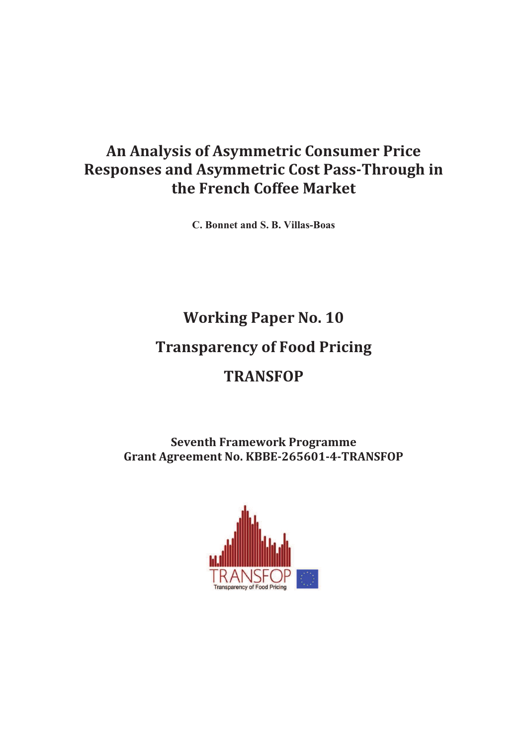## An Analysis of Asymmetric Consumer Price **Responses and Asymmetric Cost Pass-Through in** the French Coffee Market

C. Bonnet and S. B. Villas-Boas

# **Working Paper No. 10**

## **Transparency of Food Pricing**

# **TRANSFOP**

**Seventh Framework Programme** Grant Agreement No. KBBE-265601-4-TRANSFOP

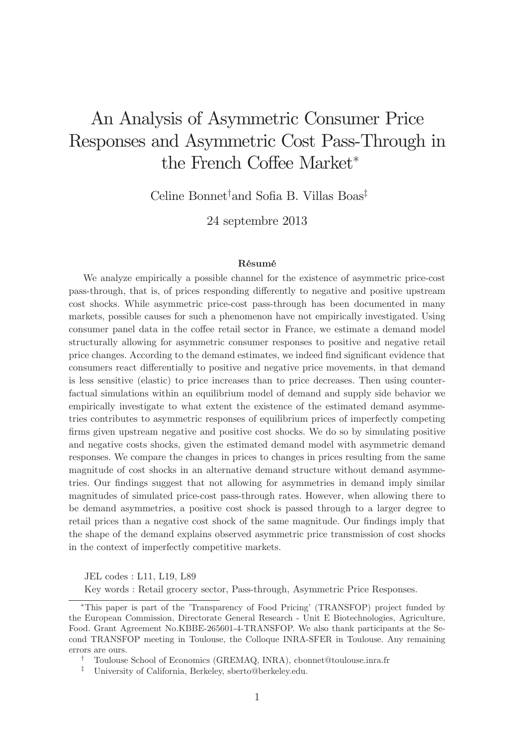# An Analysis of Asymmetric Consumer Price Responses and Asymmetric Cost Pass-Through in the French Coffee Market\*

Celine Bonnet<sup>†</sup>and Sofia B. Villas Boas<sup>‡</sup>

24 septembre 2013

#### Résumé

We analyze empirically a possible channel for the existence of asymmetric price-cost pass-through, that is, of prices responding differently to negative and positive upstream cost shocks. While asymmetric price-cost pass-through has been documented in many markets, possible causes for such a phenomenon have not empirically investigated. Using consumer panel data in the coffee retail sector in France, we estimate a demand model structurally allowing for asymmetric consumer responses to positive and negative retail price changes. According to the demand estimates, we indeed find significant evidence that consumers react differentially to positive and negative price movements, in that demand is less sensitive (elastic) to price increases than to price decreases. Then using counterfactual simulations within an equilibrium model of demand and supply side behavior we empirically investigate to what extent the existence of the estimated demand asymmetries contributes to asymmetric responses of equilibrium prices of imperfectly competing firms given upstream negative and positive cost shocks. We do so by simulating positive and negative costs shocks, given the estimated demand model with asymmetric demand responses. We compare the changes in prices to changes in prices resulting from the same magnitude of cost shocks in an alternative demand structure without demand asymmetries. Our findings suggest that not allowing for asymmetries in demand imply similar magnitudes of simulated price-cost pass-through rates. However, when allowing there to be demand asymmetries, a positive cost shock is passed through to a larger degree to retail prices than a negative cost shock of the same magnitude. Our findings imply that the shape of the demand explains observed asymmetric price transmission of cost shocks in the context of imperfectly competitive markets.

JEL codes : L11, L19, L89

Key words : Retail grocery sector, Pass-through, Asymmetric Price Responses.

This paper is part of the 'Transparency of Food Pricing' (TRANSFOP) project funded by the European Commission, Directorate General Research - Unit E Biotechnologies, Agriculture, Food. Grant Agreement No.KBBE-265601-4-TRANSFOP. We also thank participants at the Second TRANSFOP meeting in Toulouse, the Colloque INRA-SFER in Toulouse. Any remaining errors are ours.

<sup>†</sup> Toulouse School of Economics (GREMAQ, INRA), cbonnet@toulouse.inra.fr

<sup>‡</sup> University of California, Berkeley, sberto@berkeley.edu.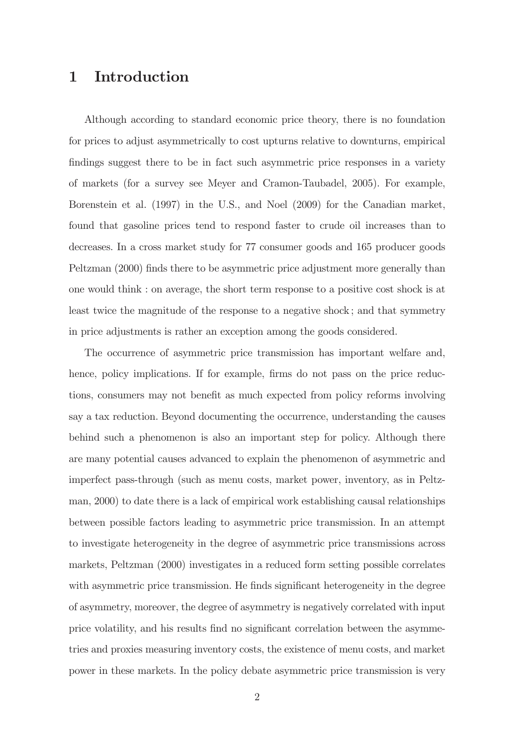### 1 Introduction

Although according to standard economic price theory, there is no foundation for prices to adjust asymmetrically to cost upturns relative to downturns, empirical findings suggest there to be in fact such asymmetric price responses in a variety of markets (for a survey see Meyer and Cramon-Taubadel, 2005). For example, Borenstein et al. (1997) in the U.S., and Noel (2009) for the Canadian market, found that gasoline prices tend to respond faster to crude oil increases than to decreases. In a cross market study for 77 consumer goods and 165 producer goods Peltzman (2000) finds there to be asymmetric price adjustment more generally than one would think : on average, the short term response to a positive cost shock is at least twice the magnitude of the response to a negative shock ; and that symmetry in price adjustments is rather an exception among the goods considered.

The occurrence of asymmetric price transmission has important welfare and, hence, policy implications. If for example, firms do not pass on the price reductions, consumers may not benefit as much expected from policy reforms involving say a tax reduction. Beyond documenting the occurrence, understanding the causes behind such a phenomenon is also an important step for policy. Although there are many potential causes advanced to explain the phenomenon of asymmetric and imperfect pass-through (such as menu costs, market power, inventory, as in Peltzman, 2000) to date there is a lack of empirical work establishing causal relationships between possible factors leading to asymmetric price transmission. In an attempt to investigate heterogeneity in the degree of asymmetric price transmissions across markets, Peltzman (2000) investigates in a reduced form setting possible correlates with asymmetric price transmission. He finds significant heterogeneity in the degree of asymmetry, moreover, the degree of asymmetry is negatively correlated with input price volatility, and his results find no significant correlation between the asymmetries and proxies measuring inventory costs, the existence of menu costs, and market power in these markets. In the policy debate asymmetric price transmission is very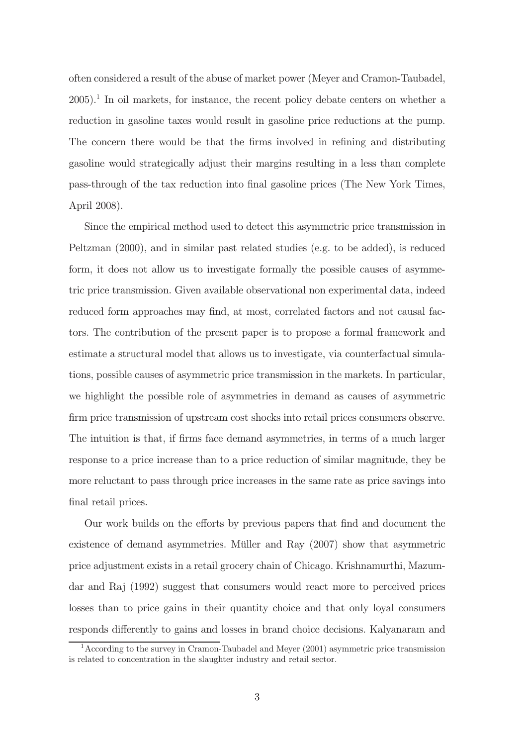often considered a result of the abuse of market power (Meyer and Cramon-Taubadel, 2005).<sup>1</sup> In oil markets, for instance, the recent policy debate centers on whether a reduction in gasoline taxes would result in gasoline price reductions at the pump. The concern there would be that the firms involved in refining and distributing gasoline would strategically adjust their margins resulting in a less than complete pass-through of the tax reduction into final gasoline prices (The New York Times, April 2008).

Since the empirical method used to detect this asymmetric price transmission in Peltzman (2000), and in similar past related studies (e.g. to be added), is reduced form, it does not allow us to investigate formally the possible causes of asymmetric price transmission. Given available observational non experimental data, indeed reduced form approaches may find, at most, correlated factors and not causal factors. The contribution of the present paper is to propose a formal framework and estimate a structural model that allows us to investigate, via counterfactual simulations, possible causes of asymmetric price transmission in the markets. In particular, we highlight the possible role of asymmetries in demand as causes of asymmetric firm price transmission of upstream cost shocks into retail prices consumers observe. The intuition is that, if firms face demand asymmetries, in terms of a much larger response to a price increase than to a price reduction of similar magnitude, they be more reluctant to pass through price increases in the same rate as price savings into final retail prices.

Our work builds on the efforts by previous papers that find and document the existence of demand asymmetries. Müller and Ray (2007) show that asymmetric price adjustment exists in a retail grocery chain of Chicago. Krishnamurthi, Mazumdar and Raj (1992) suggest that consumers would react more to perceived prices losses than to price gains in their quantity choice and that only loyal consumers responds differently to gains and losses in brand choice decisions. Kalyanaram and

<sup>&</sup>lt;sup>1</sup> According to the survey in Cramon-Taubadel and Meyer  $(2001)$  asymmetric price transmission is related to concentration in the slaughter industry and retail sector.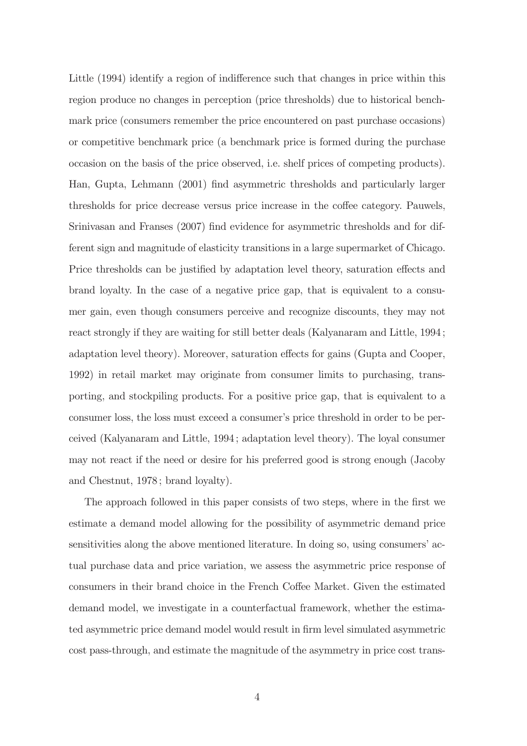Little (1994) identify a region of indifference such that changes in price within this region produce no changes in perception (price thresholds) due to historical benchmark price (consumers remember the price encountered on past purchase occasions) or competitive benchmark price (a benchmark price is formed during the purchase occasion on the basis of the price observed, i.e. shelf prices of competing products). Han, Gupta, Lehmann (2001) find asymmetric thresholds and particularly larger thresholds for price decrease versus price increase in the coffee category. Pauwels, Srinivasan and Franses (2007) find evidence for asymmetric thresholds and for different sign and magnitude of elasticity transitions in a large supermarket of Chicago. Price thresholds can be justified by adaptation level theory, saturation effects and brand loyalty. In the case of a negative price gap, that is equivalent to a consumer gain, even though consumers perceive and recognize discounts, they may not react strongly if they are waiting for still better deals (Kalyanaram and Little, 1994; adaptation level theory). Moreover, saturation effects for gains (Gupta and Cooper, 1992) in retail market may originate from consumer limits to purchasing, transporting, and stockpiling products. For a positive price gap, that is equivalent to a consumer loss, the loss must exceed a consumer's price threshold in order to be perceived (Kalyanaram and Little, 1994 ; adaptation level theory). The loyal consumer may not react if the need or desire for his preferred good is strong enough (Jacoby and Chestnut, 1978 ; brand loyalty).

The approach followed in this paper consists of two steps, where in the first we estimate a demand model allowing for the possibility of asymmetric demand price sensitivities along the above mentioned literature. In doing so, using consumers' actual purchase data and price variation, we assess the asymmetric price response of consumers in their brand choice in the French Coffee Market. Given the estimated demand model, we investigate in a counterfactual framework, whether the estimated asymmetric price demand model would result in firm level simulated asymmetric cost pass-through, and estimate the magnitude of the asymmetry in price cost trans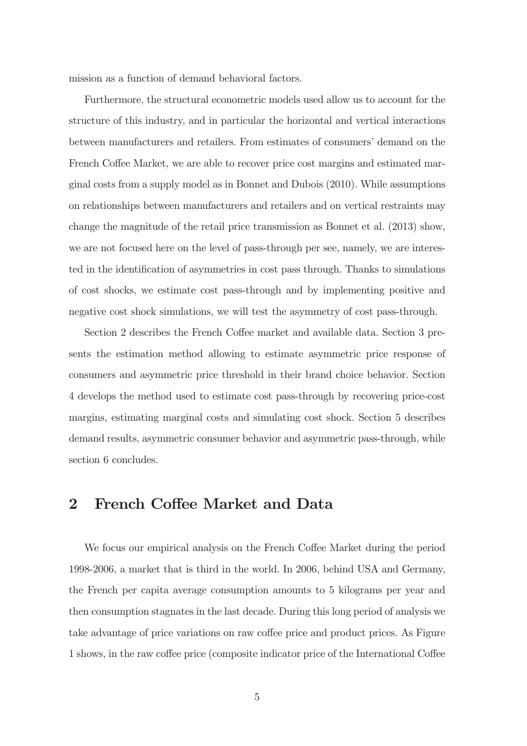mission as a function of demand behavioral factors.

Furthermore, the structural econometric models used allow us to account for the structure of this industry, and in particular the horizontal and vertical interactions between manufacturers and retailers. From estimates of consumers' demand on the French Coffee Market, we are able to recover price cost margins and estimated marginal costs from a supply model as in Bonnet and Dubois (2010). While assumptions on relationships between manufacturers and retailers and on vertical restraints may change the magnitude of the retail price transmission as Bonnet et al. (2013) show, we are not focused here on the level of pass-through per see, namely, we are interested in the identification of asymmetries in cost pass through. Thanks to simulations of cost shocks, we estimate cost pass-through and by implementing positive and negative cost shock simulations, we will test the asymmetry of cost pass-through.

Section 2 describes the French Coffee market and available data. Section 3 presents the estimation method allowing to estimate asymmetric price response of consumers and asymmetric price threshold in their brand choice behavior. Section 4 develops the method used to estimate cost pass-through by recovering price-cost margins, estimating marginal costs and simulating cost shock. Section 5 describes demand results, asymmetric consumer behavior and asymmetric pass-through, while section 6 concludes.

### 2 French Coffee Market and Data

We focus our empirical analysis on the French Coffee Market during the period 1998-2006, a market that is third in the world. In 2006, behind USA and Germany, the French per capita average consumption amounts to 5 kilograms per year and then consumption stagnates in the last decade. During this long period of analysis we take advantage of price variations on raw coffee price and product prices. As Figure 1 shows, in the raw coffee price (composite indicator price of the International Coffee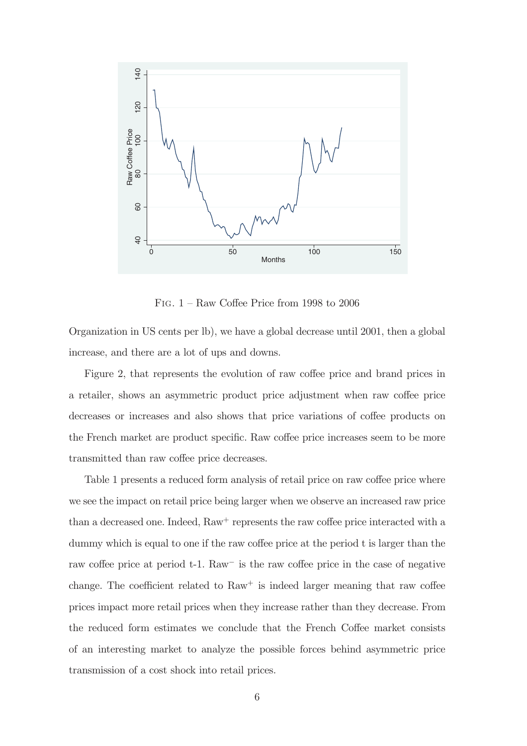

FIG.  $1 - Raw$  Coffee Price from 1998 to 2006

Organization in US cents per lb), we have a global decrease until 2001, then a global increase, and there are a lot of ups and downs.

Figure 2, that represents the evolution of raw coffee price and brand prices in a retailer, shows an asymmetric product price adjustment when raw coffee price decreases or increases and also shows that price variations of coffee products on the French market are product specific. Raw coffee price increases seem to be more transmitted than raw coffee price decreases.

Table 1 presents a reduced form analysis of retail price on raw coffee price where we see the impact on retail price being larger when we observe an increased raw price than a decreased one. Indeed,  $\text{Raw}^+$  represents the raw coffee price interacted with a dummy which is equal to one if the raw coffee price at the period t is larger than the raw coffee price at period  $t-1$ . Raw<sup>-</sup> is the raw coffee price in the case of negative change. The coefficient related to  $\text{Raw}^+$  is indeed larger meaning that raw coffee prices impact more retail prices when they increase rather than they decrease. From the reduced form estimates we conclude that the French Coffee market consists of an interesting market to analyze the possible forces behind asymmetric price transmission of a cost shock into retail prices.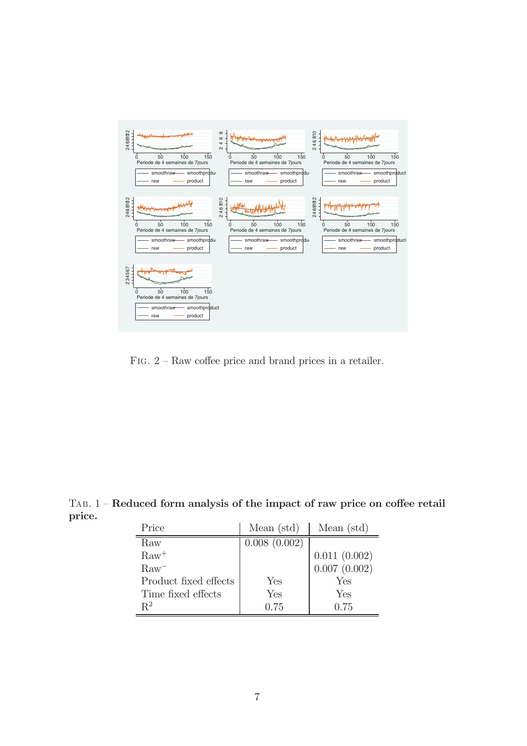

FIG.  $2$  – Raw coffee price and brand prices in a retailer.

| Price                 | Mean $(\text{std})$ | Mean $(std)$ |
|-----------------------|---------------------|--------------|
| Raw                   | 0.008(0.002)        |              |
| $\text{Raw}^+$        |                     | 0.011(0.002) |
| $\rm Raw^-$           |                     | 0.007(0.002) |
| Product fixed effects | Yes                 | Yes          |
| Time fixed effects    | Yes                 | Yes          |
| $R^2$                 | 0.75                | 0.75         |

 $TAB. 1 - Reduced form analysis of the impact of raw price on coffee retail$ price.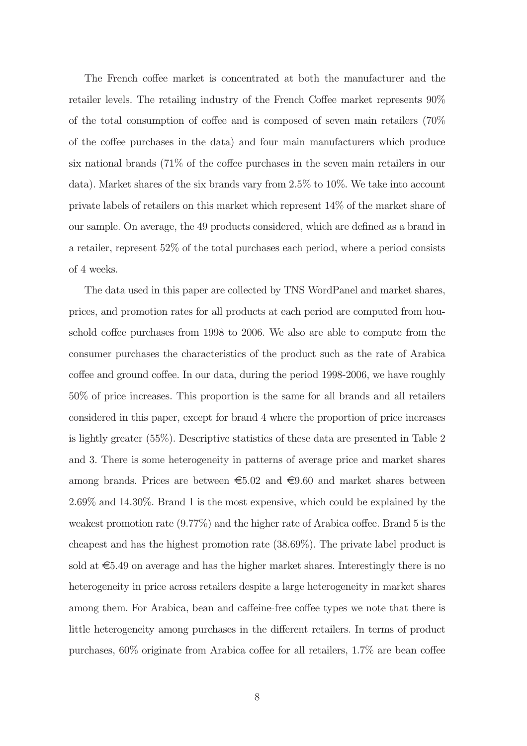The French coffee market is concentrated at both the manufacturer and the retailer levels. The retailing industry of the French Coffee market represents  $90\%$ of the total consumption of coffee and is composed of seven main retailers  $(70\%$ of the coffee purchases in the data) and four main manufacturers which produce six national brands  $(71\%$  of the coffee purchases in the seven main retailers in our data). Market shares of the six brands vary from 2.5% to 10%. We take into account private labels of retailers on this market which represent 14% of the market share of our sample. On average, the 49 products considered, which are defined as a brand in a retailer, represent 52% of the total purchases each period, where a period consists of 4 weeks.

The data used in this paper are collected by TNS WordPanel and market shares, prices, and promotion rates for all products at each period are computed from household coffee purchases from 1998 to 2006. We also are able to compute from the consumer purchases the characteristics of the product such as the rate of Arabica  $\alpha$  coffee and ground coffee. In our data, during the period 1998-2006, we have roughly 50% of price increases. This proportion is the same for all brands and all retailers considered in this paper, except for brand 4 where the proportion of price increases is lightly greater (55%). Descriptive statistics of these data are presented in Table 2 and 3. There is some heterogeneity in patterns of average price and market shares among brands. Prices are between  $\epsilon$ 5.02 and  $\epsilon$ 9.60 and market shares between 2.69% and 14.30%. Brand 1 is the most expensive, which could be explained by the weakest promotion rate  $(9.77\%)$  and the higher rate of Arabica coffee. Brand 5 is the cheapest and has the highest promotion rate (38.69%). The private label product is sold at  $\epsilon$ 5.49 on average and has the higher market shares. Interestingly there is no heterogeneity in price across retailers despite a large heterogeneity in market shares among them. For Arabica, bean and caffeine-free coffee types we note that there is little heterogeneity among purchases in the different retailers. In terms of product purchases,  $60\%$  originate from Arabica coffee for all retailers,  $1.7\%$  are bean coffee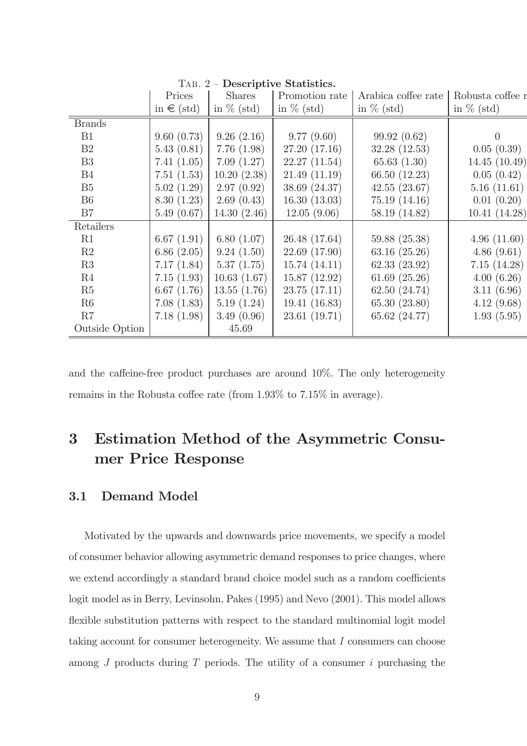|                | Prices         | <b>Shares</b> | Promotion rate | Arabica coffee rate | Robusta coffee r |
|----------------|----------------|---------------|----------------|---------------------|------------------|
|                | in $\in$ (std) | in $\%$ (std) | in $\%$ (std)  | in $\%$ (std)       | in $\%$ (std)    |
| <b>Brands</b>  |                |               |                |                     |                  |
| <b>B1</b>      | 9.60(0.73)     | 9.26(2.16)    | 9.77(9.60)     | 99.92(0.62)         | $\theta$         |
| B <sub>2</sub> | 5.43(0.81)     | 7.76(1.98)    | 27.20 (17.16)  | 32.28 (12.53)       | 0.05(0.39)       |
| B <sub>3</sub> | 7.41(1.05)     | 7.09(1.27)    | 22.27(11.54)   | 65.63(1.30)         | 14.45 (10.49)    |
| <b>B4</b>      | 7.51(1.53)     | 10.20(2.38)   | 21.49(11.19)   | 66.50 (12.23)       | 0.05(0.42)       |
| B <sub>5</sub> | 5.02(1.29)     | 2.97(0.92)    | 38.69 (24.37)  | 42.55(23.67)        | 5.16(11.61)      |
| B <sub>6</sub> | 8.30(1.23)     | 2.69(0.43)    | 16.30(13.03)   | 75.19(14.16)        | 0.01(0.20)       |
| B7             | 5.49(0.67)     | 14.30(2.46)   | 12.05(9.06)    | 58.19 (14.82)       | 10.41(14.28)     |
| Retailers      |                |               |                |                     |                  |
| R1             | 6.67(1.91)     | 6.80(1.07)    | 26.48 (17.64)  | 59.88 (25.38)       | 4.96(11.60)      |
| R2             | 6.86(2.05)     | 9.24(1.50)    | 22.69 (17.90)  | 63.16(25.26)        | 4.86(9.61)       |
| R3             | 7.17(1.84)     | 5.37(1.75)    | 15.74(14.11)   | 62.33 (23.92)       | 7.15(14.28)      |
| R4             | 7.15(1.93)     | 10.63(1.67)   | 15.87 (12.92)  | 61.69(25.26)        | 4.00(6.26)       |
| R5             | 6.67(1.76)     | 13.55(1.76)   | 23.75 (17.11)  | 62.50 (24.74)       | 3.11(6.96)       |
| R6             | 7.08(1.83)     | 5.19(1.24)    | 19.41 (16.83)  | 65.30 (23.80)       | 4.12(9.68)       |
| R7             | 7.18(1.98)     | 3.49(0.96)    | 23.61(19.71)   | 65.62 (24.77)       | 1.93(5.95)       |
| Outside Option |                | 45.69         |                |                     |                  |

TAB. 2 – Descriptive Statistics.

and the caffeine-free product purchases are around  $10\%$ . The only heterogeneity remains in the Robusta coffee rate (from  $1.93\%$  to  $7.15\%$  in average).

## 3 Estimation Method of the Asymmetric Consumer Price Response

#### 3.1 Demand Model

Motivated by the upwards and downwards price movements, we specify a model of consumer behavior allowing asymmetric demand responses to price changes, where we extend accordingly a standard brand choice model such as a random coefficients logit model as in Berry, Levinsohn, Pakes (1995) and Nevo (2001). This model allows flexible substitution patterns with respect to the standard multinomial logit model taking account for consumer heterogeneity. We assume that I consumers can choose among  $J$  products during  $T$  periods. The utility of a consumer  $i$  purchasing the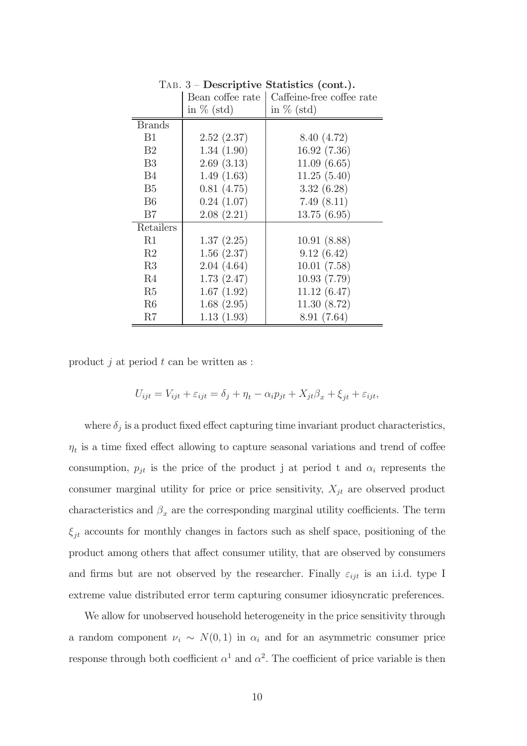|                | Bean coffee rate | $\frac{1}{2}$<br>Caffeine-free coffee rate |
|----------------|------------------|--------------------------------------------|
|                | in $\%$ (std)    | in $\%$ (std)                              |
| <b>Brands</b>  |                  |                                            |
| B1             | 2.52(2.37)       | 8.40 (4.72)                                |
| B2             | 1.34(1.90)       | 16.92(7.36)                                |
| B <sub>3</sub> | 2.69(3.13)       | 11.09(6.65)                                |
| B4             | 1.49(1.63)       | 11.25(5.40)                                |
| B <sub>5</sub> | 0.81(4.75)       | 3.32(6.28)                                 |
| B <sub>6</sub> | 0.24(1.07)       | 7.49(8.11)                                 |
| B7             | 2.08(2.21)       | 13.75(6.95)                                |
| Retailers      |                  |                                            |
| R1             | 1.37(2.25)       | 10.91(8.88)                                |
| R2             | 1.56(2.37)       | 9.12(6.42)                                 |
| R3             | 2.04(4.64)       | 10.01(7.58)                                |
| R4             | 1.73(2.47)       | 10.93(7.79)                                |
| R5             | 1.67(1.92)       | 11.12(6.47)                                |
| R <sub>6</sub> | 1.68(2.95)       | 11.30(8.72)                                |
| R7             | 1.13(1.93)       | 8.91 (7.64)                                |

Tab. 3 — Descriptive Statistics (cont.).

product  $i$  at period  $t$  can be written as :

$$
U_{ijt} = V_{ijt} + \varepsilon_{ijt} = \delta_j + \eta_t - \alpha_i p_{jt} + X_{jt} \beta_x + \xi_{jt} + \varepsilon_{ijt},
$$

where  $\delta_j$  is a product fixed effect capturing time invariant product characteristics,  $\eta_t$  is a time fixed effect allowing to capture seasonal variations and trend of coffee consumption,  $p_{jt}$  is the price of the product j at period t and  $\alpha_i$  represents the consumer marginal utility for price or price sensitivity,  $X_{it}$  are observed product characteristics and  $\beta_x$  are the corresponding marginal utility coefficients. The term  $\xi_{jt}$  accounts for monthly changes in factors such as shelf space, positioning of the product among others that affect consumer utility, that are observed by consumers and firms but are not observed by the researcher. Finally  $\varepsilon_{ijt}$  is an i.i.d. type I extreme value distributed error term capturing consumer idiosyncratic preferences.

We allow for unobserved household heterogeneity in the price sensitivity through a random component  $\nu_i \sim N(0, 1)$  in  $\alpha_i$  and for an asymmetric consumer price response through both coefficient  $\alpha^1$  and  $\alpha^2$ . The coefficient of price variable is then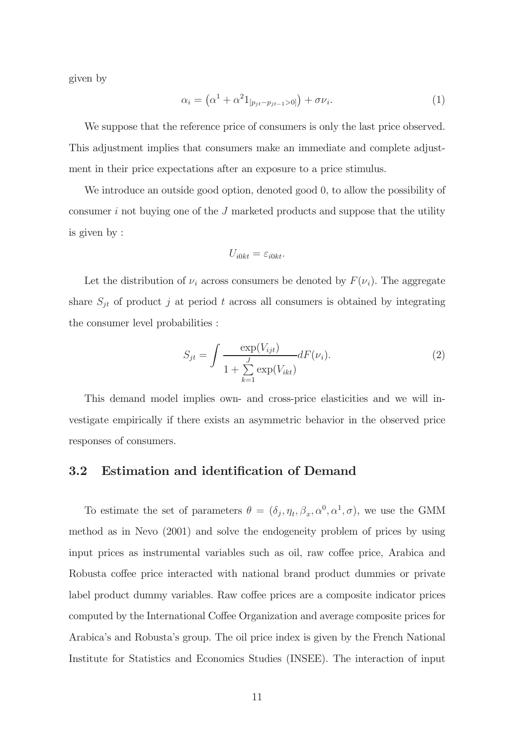given by

$$
\alpha_i = \left(\alpha^1 + \alpha^2 1_{[p_{jt} - p_{jt-1} > 0]}\right) + \sigma \nu_i.
$$
\n(1)

We suppose that the reference price of consumers is only the last price observed. This adjustment implies that consumers make an immediate and complete adjustment in their price expectations after an exposure to a price stimulus.

We introduce an outside good option, denoted good 0, to allow the possibility of consumer  $i$  not buying one of the  $J$  marketed products and suppose that the utility is given by :

$$
U_{i0kt} = \varepsilon_{i0kt}.
$$

Let the distribution of  $\nu_i$  across consumers be denoted by  $F(\nu_i)$ . The aggregate share  $S_{jt}$  of product j at period t across all consumers is obtained by integrating the consumer level probabilities :

$$
S_{jt} = \int \frac{\exp(V_{ijt})}{1 + \sum_{k=1}^{J} \exp(V_{ikt})} dF(\nu_i).
$$
 (2)

This demand model implies own- and cross-price elasticities and we will investigate empirically if there exists an asymmetric behavior in the observed price responses of consumers.

#### 3.2 Estimation and identification of Demand

To estimate the set of parameters  $\theta = (\delta_j, \eta_t, \beta_x, \alpha^0, \alpha^1, \sigma)$ , we use the GMM method as in Nevo (2001) and solve the endogeneity problem of prices by using input prices as instrumental variables such as oil, raw coffee price, Arabica and Robusta coffee price interacted with national brand product dummies or private label product dummy variables. Raw coffee prices are a composite indicator prices computed by the International Coffee Organization and average composite prices for Arabica's and Robusta's group. The oil price index is given by the French National Institute for Statistics and Economics Studies (INSEE). The interaction of input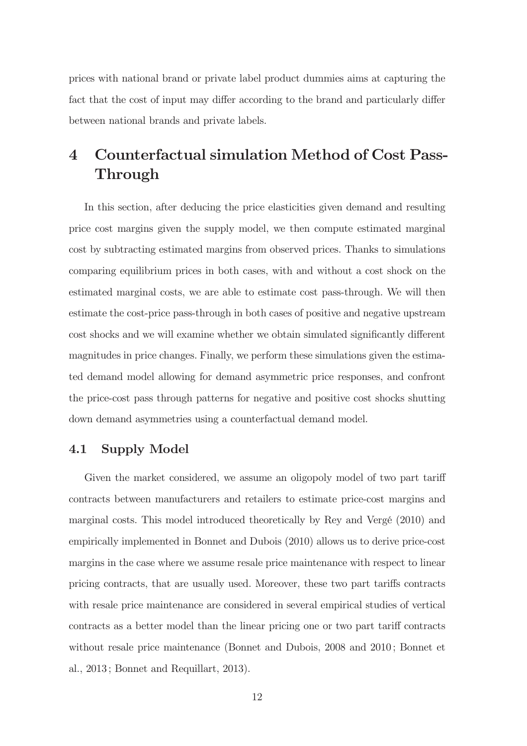prices with national brand or private label product dummies aims at capturing the fact that the cost of input may differ according to the brand and particularly differ between national brands and private labels.

## 4 Counterfactual simulation Method of Cost Pass-Through

In this section, after deducing the price elasticities given demand and resulting price cost margins given the supply model, we then compute estimated marginal cost by subtracting estimated margins from observed prices. Thanks to simulations comparing equilibrium prices in both cases, with and without a cost shock on the estimated marginal costs, we are able to estimate cost pass-through. We will then estimate the cost-price pass-through in both cases of positive and negative upstream cost shocks and we will examine whether we obtain simulated significantly different magnitudes in price changes. Finally, we perform these simulations given the estimated demand model allowing for demand asymmetric price responses, and confront the price-cost pass through patterns for negative and positive cost shocks shutting down demand asymmetries using a counterfactual demand model.

#### 4.1 Supply Model

Given the market considered, we assume an oligopoly model of two part tariff contracts between manufacturers and retailers to estimate price-cost margins and marginal costs. This model introduced theoretically by Rey and Vergé (2010) and empirically implemented in Bonnet and Dubois (2010) allows us to derive price-cost margins in the case where we assume resale price maintenance with respect to linear pricing contracts, that are usually used. Moreover, these two part taris contracts with resale price maintenance are considered in several empirical studies of vertical contracts as a better model than the linear pricing one or two part tariff contracts without resale price maintenance (Bonnet and Dubois, 2008 and 2010 ; Bonnet et al., 2013 ; Bonnet and Requillart, 2013).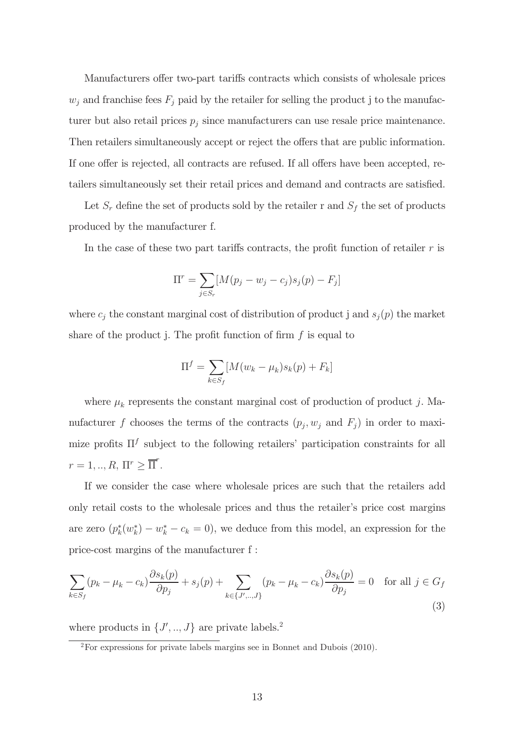Manufacturers offer two-part tariffs contracts which consists of wholesale prices  $w_j$  and franchise fees  $F_j$  paid by the retailer for selling the product j to the manufacturer but also retail prices  $p_j$  since manufacturers can use resale price maintenance. Then retailers simultaneously accept or reject the offers that are public information. If one offer is rejected, all contracts are refused. If all offers have been accepted, retailers simultaneously set their retail prices and demand and contracts are satisfied.

Let  $S_r$  define the set of products sold by the retailer r and  $S_f$  the set of products produced by the manufacturer f.

In the case of these two part tariffs contracts, the profit function of retailer  $r$  is

$$
\Pi^r = \sum_{j \in S_r} [M(p_j - w_j - c_j)s_j(p) - F_j]
$$

where  $c_j$  the constant marginal cost of distribution of product j and  $s_j(p)$  the market share of the product j. The profit function of firm  $f$  is equal to

$$
\Pi^f = \sum_{k \in S_f} [M(w_k - \mu_k) s_k(p) + F_k]
$$

where  $\mu_k$  represents the constant marginal cost of production of product j. Manufacturer f chooses the terms of the contracts  $(p_j, w_j \text{ and } F_j)$  in order to maximize profits  $\Pi^f$  subject to the following retailers' participation constraints for all  $r = 1, ..., R, \Pi^r \geq \overline{\Pi}^r.$ 

If we consider the case where wholesale prices are such that the retailers add only retail costs to the wholesale prices and thus the retailer's price cost margins are zero  $(p_k^*(w_k^*) - w_k^* - c_k = 0)$ , we deduce from this model, an expression for the price-cost margins of the manufacturer f :

$$
\sum_{k \in S_f} (p_k - \mu_k - c_k) \frac{\partial s_k(p)}{\partial p_j} + s_j(p) + \sum_{k \in \{J', ..., J\}} (p_k - \mu_k - c_k) \frac{\partial s_k(p)}{\partial p_j} = 0 \text{ for all } j \in G_f
$$
\n(3)

where products in  $\{J', ..., J\}$  are private labels.<sup>2</sup>

<sup>2</sup>For expressions for private labels margins see in Bonnet and Dubois (2010).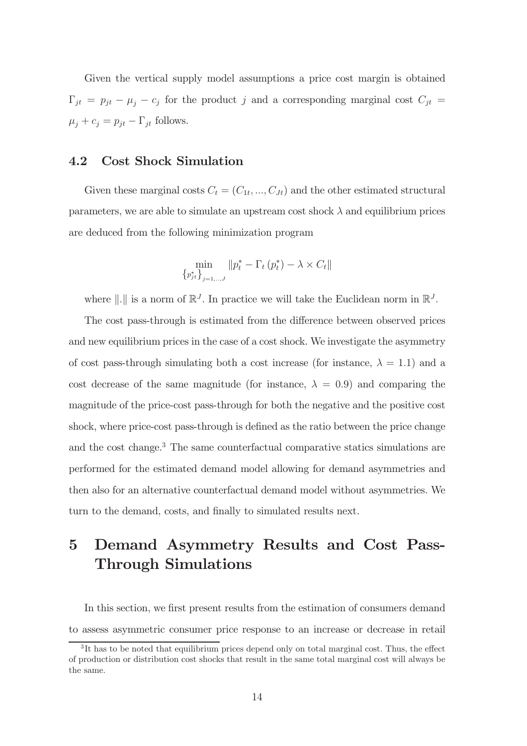Given the vertical supply model assumptions a price cost margin is obtained  $\Gamma_{jt} = p_{jt} - \mu_j - c_j$  for the product j and a corresponding marginal cost  $C_{jt}$  $\mu_j + c_j = p_{jt} - \Gamma_{jt}$  follows.

#### 4.2 Cost Shock Simulation

Given these marginal costs  $C_t = (C_{1t}, ..., C_{Jt})$  and the other estimated structural parameters, we are able to simulate an upstream cost shock  $\lambda$  and equilibrium prices are deduced from the following minimization program

$$
\min_{\left\{p_{jt}^*\right\}_{j=1,\dots,J}} \|p_t^* - \Gamma_t\left(p_t^*\right) - \lambda \times C_t\|
$$

where  $\|\cdot\|$  is a norm of  $\mathbb{R}^J$ . In practice we will take the Euclidean norm in  $\mathbb{R}^J$ .

The cost pass-through is estimated from the difference between observed prices and new equilibrium prices in the case of a cost shock. We investigate the asymmetry of cost pass-through simulating both a cost increase (for instance,  $\lambda = 1.1$ ) and a cost decrease of the same magnitude (for instance,  $\lambda = 0.9$ ) and comparing the magnitude of the price-cost pass-through for both the negative and the positive cost shock, where price-cost pass-through is defined as the ratio between the price change and the cost change.<sup>3</sup> The same counterfactual comparative statics simulations are performed for the estimated demand model allowing for demand asymmetries and then also for an alternative counterfactual demand model without asymmetries. We turn to the demand, costs, and finally to simulated results next.

## 5 Demand Asymmetry Results and Cost Pass-Through Simulations

In this section, we first present results from the estimation of consumers demand to assess asymmetric consumer price response to an increase or decrease in retail

 ${}^{3}$ It has to be noted that equilibrium prices depend only on total marginal cost. Thus, the effect of production or distribution cost shocks that result in the same total marginal cost will always be the same.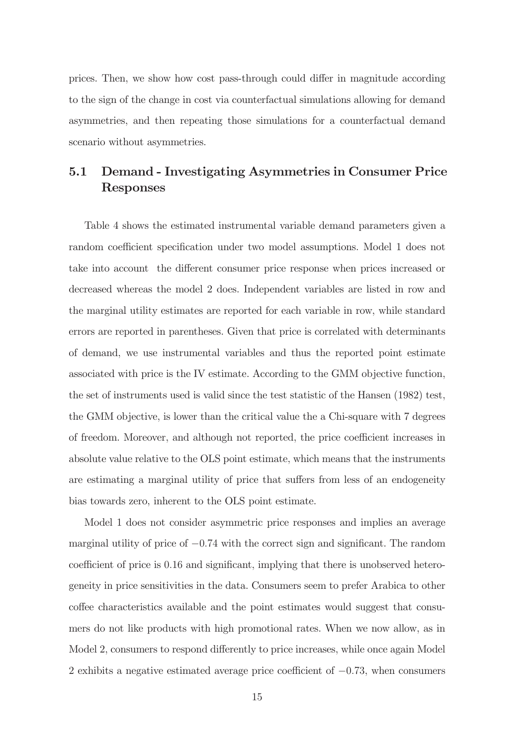prices. Then, we show how cost pass-through could differ in magnitude according to the sign of the change in cost via counterfactual simulations allowing for demand asymmetries, and then repeating those simulations for a counterfactual demand scenario without asymmetries.

### 5.1 Demand - Investigating Asymmetries in Consumer Price Responses

Table 4 shows the estimated instrumental variable demand parameters given a random coefficient specification under two model assumptions. Model 1 does not take into account the different consumer price response when prices increased or decreased whereas the model 2 does. Independent variables are listed in row and the marginal utility estimates are reported for each variable in row, while standard errors are reported in parentheses. Given that price is correlated with determinants of demand, we use instrumental variables and thus the reported point estimate associated with price is the IV estimate. According to the GMM objective function, the set of instruments used is valid since the test statistic of the Hansen (1982) test, the GMM objective, is lower than the critical value the a Chi-square with 7 degrees of freedom. Moreover, and although not reported, the price coefficient increases in absolute value relative to the OLS point estimate, which means that the instruments are estimating a marginal utility of price that suffers from less of an endogeneity bias towards zero, inherent to the OLS point estimate.

Model 1 does not consider asymmetric price responses and implies an average marginal utility of price of  $-0.74$  with the correct sign and significant. The random coefficient of price is 0.16 and significant, implying that there is unobserved heterogeneity in price sensitivities in the data. Consumers seem to prefer Arabica to other coffee characteristics available and the point estimates would suggest that consumers do not like products with high promotional rates. When we now allow, as in Model 2, consumers to respond differently to price increases, while once again Model 2 exhibits a negative estimated average price coefficient of  $-0.73$ , when consumers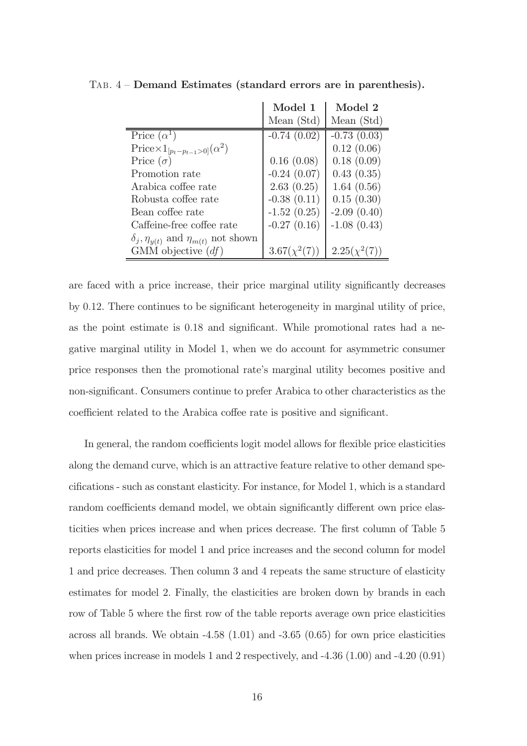|                                                        | Model 1           | Model 2           |
|--------------------------------------------------------|-------------------|-------------------|
|                                                        | Mean (Std)        | Mean (Std)        |
| Price $(\alpha^1)$                                     | $-0.74(0.02)$     | $-0.73(0.03)$     |
| $\text{Price} \times 1_{[p_t-p_{t-1}>0]}(\alpha^2)$    |                   | 0.12(0.06)        |
| Price $(\sigma)$                                       | 0.16(0.08)        | 0.18(0.09)        |
| Promotion rate                                         | $-0.24(0.07)$     | 0.43(0.35)        |
| Arabica coffee rate                                    | 2.63(0.25)        | 1.64(0.56)        |
| Robusta coffee rate                                    | $-0.38(0.11)$     | 0.15(0.30)        |
| Bean coffee rate                                       | $-1.52(0.25)$     | $-2.09(0.40)$     |
| Caffeine-free coffee rate                              | $-0.27(0.16)$     | $-1.08(0.43)$     |
| $\delta_j$ , $\eta_{y(t)}$ and $\eta_{m(t)}$ not shown |                   |                   |
| GMM objective $(df)$                                   | $3.67(\chi^2(7))$ | $2.25(\chi^2(7))$ |

Tab. 4 — Demand Estimates (standard errors are in parenthesis).

are faced with a price increase, their price marginal utility significantly decreases by  $0.12$ . There continues to be significant heterogeneity in marginal utility of price, as the point estimate is  $0.18$  and significant. While promotional rates had a negative marginal utility in Model 1, when we do account for asymmetric consumer price responses then the promotional rate's marginal utility becomes positive and non-significant. Consumers continue to prefer Arabica to other characteristics as the coefficient related to the Arabica coffee rate is positive and significant.

In general, the random coefficients logit model allows for flexible price elasticities along the demand curve, which is an attractive feature relative to other demand specifications - such as constant elasticity. For instance, for Model 1, which is a standard random coefficients demand model, we obtain significantly different own price elasticities when prices increase and when prices decrease. The first column of Table 5 reports elasticities for model 1 and price increases and the second column for model 1 and price decreases. Then column 3 and 4 repeats the same structure of elasticity estimates for model 2. Finally, the elasticities are broken down by brands in each row of Table 5 where the first row of the table reports average own price elasticities across all brands. We obtain -4.58 (1.01) and -3.65 (0.65) for own price elasticities when prices increase in models 1 and 2 respectively, and -4.36 (1.00) and -4.20 (0.91)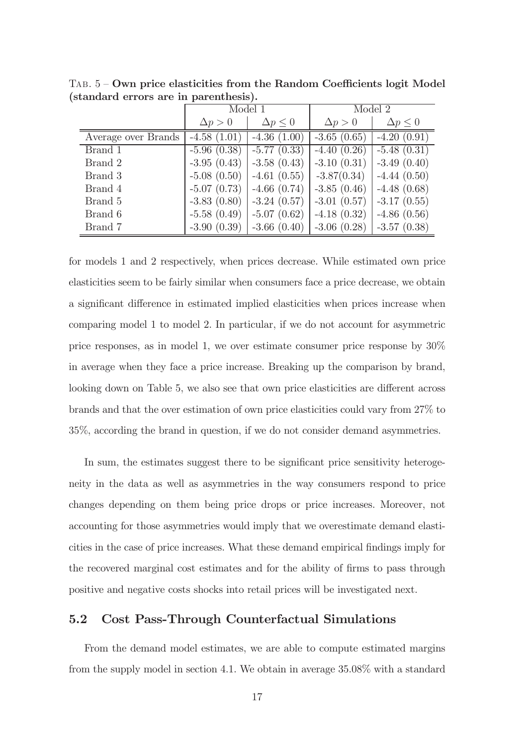|                     | Model 1        |                   | Model 2        |                   |
|---------------------|----------------|-------------------|----------------|-------------------|
|                     | $\Delta p > 0$ | $\Delta p \leq 0$ | $\Delta p > 0$ | $\Delta p \leq 0$ |
| Average over Brands | $-4.58(1.01)$  | $-4.36(1.00)$     | $-3.65(0.65)$  | $-4.20(0.91)$     |
| Brand 1             | $-5.96(0.38)$  | $-5.77(0.33)$     | $-4.40(0.26)$  | $-5.48(0.31)$     |
| Brand 2             | $-3.95(0.43)$  | $-3.58(0.43)$     | $-3.10(0.31)$  | $-3.49(0.40)$     |
| Brand 3             | $-5.08(0.50)$  | $-4.61(0.55)$     | $-3.87(0.34)$  | $-4.44(0.50)$     |
| Brand 4             | $-5.07(0.73)$  | $-4.66(0.74)$     | $-3.85(0.46)$  | $-4.48(0.68)$     |
| Brand 5             | $-3.83(0.80)$  | $-3.24(0.57)$     | $-3.01(0.57)$  | $-3.17(0.55)$     |
| Brand 6             | $-5.58(0.49)$  | $-5.07(0.62)$     | $-4.18(0.32)$  | $-4.86(0.56)$     |
| Brand 7             | $-3.90(0.39)$  | $-3.66(0.40)$     | $-3.06(0.28)$  | $-3.57(0.38)$     |

 $TAB. 5 - Own$  price elasticities from the Random Coefficients logit Model (standard errors are in parenthesis).

for models 1 and 2 respectively, when prices decrease. While estimated own price elasticities seem to be fairly similar when consumers face a price decrease, we obtain a significant difference in estimated implied elasticities when prices increase when comparing model 1 to model 2. In particular, if we do not account for asymmetric price responses, as in model 1, we over estimate consumer price response by 30% in average when they face a price increase. Breaking up the comparison by brand, looking down on Table 5, we also see that own price elasticities are different across brands and that the over estimation of own price elasticities could vary from 27% to 35%, according the brand in question, if we do not consider demand asymmetries.

In sum, the estimates suggest there to be significant price sensitivity heterogeneity in the data as well as asymmetries in the way consumers respond to price changes depending on them being price drops or price increases. Moreover, not accounting for those asymmetries would imply that we overestimate demand elasticities in the case of price increases. What these demand empirical findings imply for the recovered marginal cost estimates and for the ability of firms to pass through positive and negative costs shocks into retail prices will be investigated next.

#### 5.2 Cost Pass-Through Counterfactual Simulations

From the demand model estimates, we are able to compute estimated margins from the supply model in section 4.1. We obtain in average 35.08% with a standard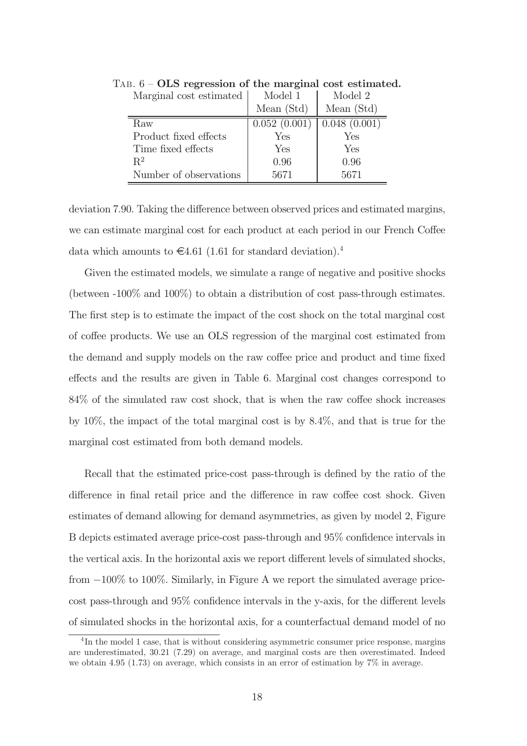| Marginal cost estimated | Model 1      | Model 2      |
|-------------------------|--------------|--------------|
|                         | Mean $(Std)$ | Mean (Std)   |
| Raw                     | 0.052(0.001) | 0.048(0.001) |
| Product fixed effects   | Yes          | Yes          |
| Time fixed effects      | Yes          | Yes          |
| $R^2$                   | 0.96         | 0.96         |
| Number of observations  | 5671         | 5671         |

TAB.  $6$  – OLS regression of the marginal cost estimated.

deviation 7.90. Taking the difference between observed prices and estimated margins, we can estimate marginal cost for each product at each period in our French Coffee data which amounts to  $\epsilon$ 4.61 (1.61 for standard deviation).<sup>4</sup>

Given the estimated models, we simulate a range of negative and positive shocks (between -100% and 100%) to obtain a distribution of cost pass-through estimates. The first step is to estimate the impact of the cost shock on the total marginal cost of coffee products. We use an OLS regression of the marginal cost estimated from the demand and supply models on the raw coffee price and product and time fixed effects and the results are given in Table 6. Marginal cost changes correspond to  $84\%$  of the simulated raw cost shock, that is when the raw coffee shock increases by 10%, the impact of the total marginal cost is by 8.4%, and that is true for the marginal cost estimated from both demand models.

Recall that the estimated price-cost pass-through is defined by the ratio of the difference in final retail price and the difference in raw coffee cost shock. Given estimates of demand allowing for demand asymmetries, as given by model 2, Figure B depicts estimated average price-cost pass-through and  $95\%$  confidence intervals in the vertical axis. In the horizontal axis we report different levels of simulated shocks, from  $-100\%$  to 100%. Similarly, in Figure A we report the simulated average pricecost pass-through and  $95\%$  confidence intervals in the y-axis, for the different levels of simulated shocks in the horizontal axis, for a counterfactual demand model of no

<sup>&</sup>lt;sup>4</sup>In the model 1 case, that is without considering asymmetric consumer price response, margins are underestimated, 30.21 (7.29) on average, and marginal costs are then overestimated. Indeed we obtain 4.95 (1.73) on average, which consists in an error of estimation by 7% in average.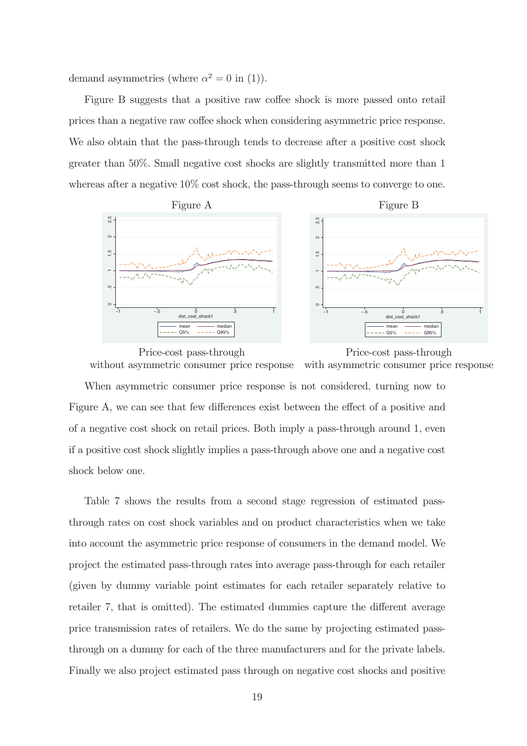demand asymmetries (where  $\alpha^2 = 0$  in (1)).

Figure B suggests that a positive raw coffee shock is more passed onto retail prices than a negative raw coffee shock when considering asymmetric price response. We also obtain that the pass-through tends to decrease after a positive cost shock greater than 50%. Small negative cost shocks are slightly transmitted more than 1 whereas after a negative  $10\%$  cost shock, the pass-through seems to converge to one.



Price-cost pass-through Price-cost pass-through without asymmetric consumer price response with asymmetric consumer price response

When asymmetric consumer price response is not considered, turning now to Figure A, we can see that few differences exist between the effect of a positive and of a negative cost shock on retail prices. Both imply a pass-through around 1, even if a positive cost shock slightly implies a pass-through above one and a negative cost shock below one.

Table 7 shows the results from a second stage regression of estimated passthrough rates on cost shock variables and on product characteristics when we take into account the asymmetric price response of consumers in the demand model. We project the estimated pass-through rates into average pass-through for each retailer (given by dummy variable point estimates for each retailer separately relative to retailer 7, that is omitted). The estimated dummies capture the different average price transmission rates of retailers. We do the same by projecting estimated passthrough on a dummy for each of the three manufacturers and for the private labels. Finally we also project estimated pass through on negative cost shocks and positive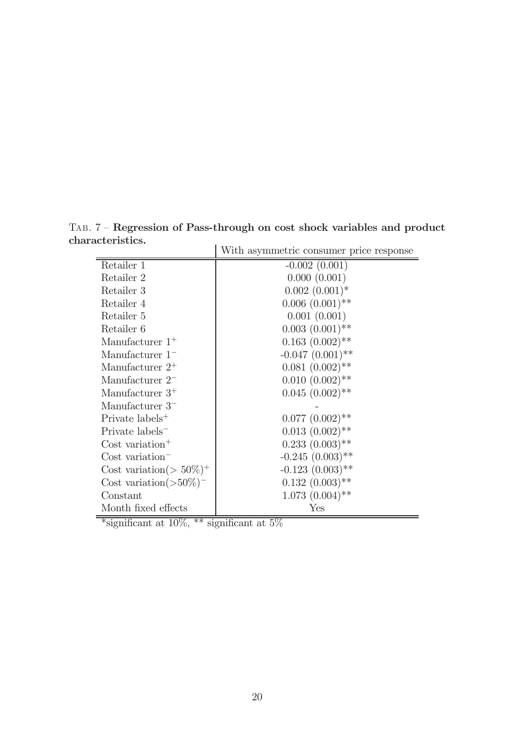TAB. 7 – Regression of Pass-through on cost shock variables and product characteristics.  $\overline{1}$ 

|                                         | With asymmetric consumer price response |
|-----------------------------------------|-----------------------------------------|
| Retailer 1                              | $-0.002(0.001)$                         |
| Retailer 2                              | 0.000(0.001)                            |
| Retailer 3                              | $0.002~(0.001)*$                        |
| Retailer 4                              | $0.006(0.001)$ **                       |
| Retailer 5                              | 0.001(0.001)                            |
| Retailer 6                              | $0.003$ $(0.001)$ <sup>**</sup>         |
| Manufacturer $1^+$                      | $0.163$ $(0.002)$ <sup>**</sup>         |
| Manufacturer $1-$                       | $-0.047$ $(0.001)$ **                   |
| Manufacturer $2^+$                      | $0.081~(0.002)$ **                      |
| Manufacturer $2-$                       | $0.010~(0.002)$ **                      |
| Manufacturer $3^+$                      | $0.045~(0.002)$ **                      |
| Manufacturer $3-$                       |                                         |
| Private labels <sup>+</sup>             | $0.077~(0.002)$ **                      |
| Private labels <sup>-</sup>             | $0.013~(0.002)$ **                      |
| Cost variation <sup>+</sup>             | $0.233(0.003)$ **                       |
| Cost variation <sup>-</sup>             | $-0.245(0.003)$ **                      |
| Cost variation( $> 50\%$ ) <sup>+</sup> | $-0.123(0.003)$ **                      |
| Cost variation $($ >50%) <sup>-</sup>   | $0.132(0.003)$ **                       |
| Constant                                | $1.073~(0.004)$ **                      |
| Month fixed effects                     | ${\rm Yes}$                             |

\*significant at 10%, \*\* significant at 5%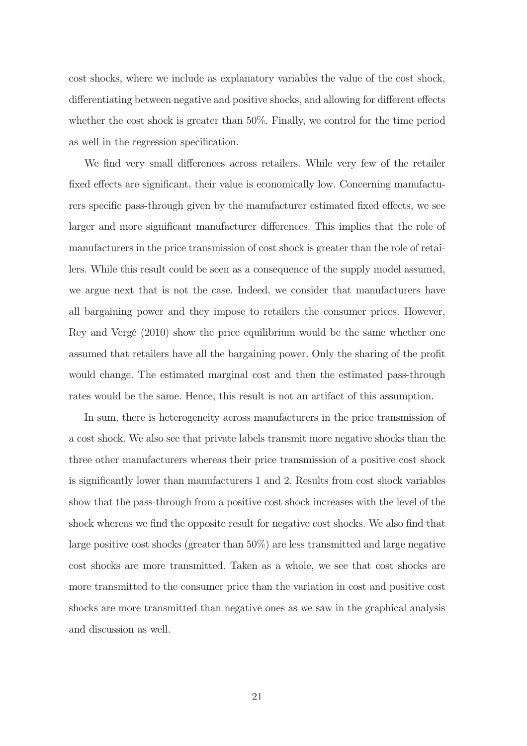cost shocks, where we include as explanatory variables the value of the cost shock, differentiating between negative and positive shocks, and allowing for different effects whether the cost shock is greater than 50%. Finally, we control for the time period as well in the regression specification.

We find very small differences across retailers. While very few of the retailer fixed effects are significant, their value is economically low. Concerning manufacturers specific pass-through given by the manufacturer estimated fixed effects, we see larger and more significant manufacturer differences. This implies that the role of manufacturers in the price transmission of cost shock is greater than the role of retailers. While this result could be seen as a consequence of the supply model assumed, we argue next that is not the case. Indeed, we consider that manufacturers have all bargaining power and they impose to retailers the consumer prices. However, Rey and Vergé (2010) show the price equilibrium would be the same whether one assumed that retailers have all the bargaining power. Only the sharing of the profit would change. The estimated marginal cost and then the estimated pass-through rates would be the same. Hence, this result is not an artifact of this assumption.

In sum, there is heterogeneity across manufacturers in the price transmission of a cost shock. We also see that private labels transmit more negative shocks than the three other manufacturers whereas their price transmission of a positive cost shock is significantly lower than manufacturers 1 and 2. Results from cost shock variables show that the pass-through from a positive cost shock increases with the level of the shock whereas we find the opposite result for negative cost shocks. We also find that large positive cost shocks (greater than 50%) are less transmitted and large negative cost shocks are more transmitted. Taken as a whole, we see that cost shocks are more transmitted to the consumer price than the variation in cost and positive cost shocks are more transmitted than negative ones as we saw in the graphical analysis and discussion as well.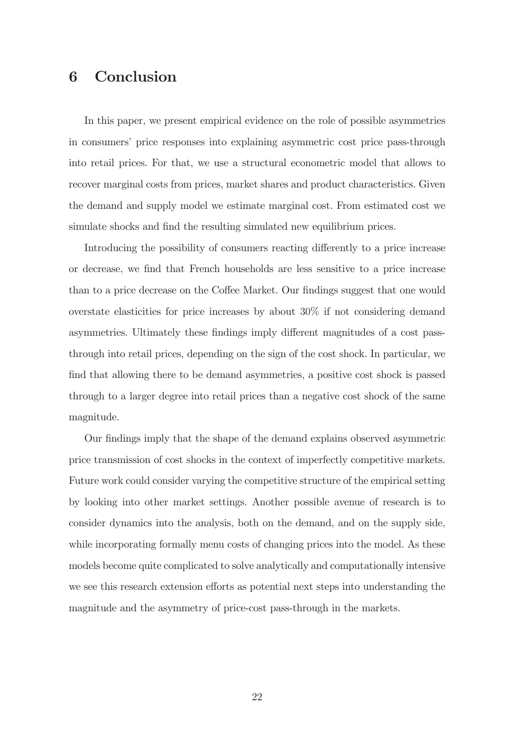### 6 Conclusion

In this paper, we present empirical evidence on the role of possible asymmetries in consumers' price responses into explaining asymmetric cost price pass-through into retail prices. For that, we use a structural econometric model that allows to recover marginal costs from prices, market shares and product characteristics. Given the demand and supply model we estimate marginal cost. From estimated cost we simulate shocks and find the resulting simulated new equilibrium prices.

Introducing the possibility of consumers reacting differently to a price increase or decrease, we Þnd that French households are less sensitive to a price increase than to a price decrease on the Coffee Market. Our findings suggest that one would overstate elasticities for price increases by about 30% if not considering demand asymmetries. Ultimately these findings imply different magnitudes of a cost passthrough into retail prices, depending on the sign of the cost shock. In particular, we find that allowing there to be demand asymmetries, a positive cost shock is passed through to a larger degree into retail prices than a negative cost shock of the same magnitude.

Our findings imply that the shape of the demand explains observed asymmetric price transmission of cost shocks in the context of imperfectly competitive markets. Future work could consider varying the competitive structure of the empirical setting by looking into other market settings. Another possible avenue of research is to consider dynamics into the analysis, both on the demand, and on the supply side, while incorporating formally menu costs of changing prices into the model. As these models become quite complicated to solve analytically and computationally intensive we see this research extension efforts as potential next steps into understanding the magnitude and the asymmetry of price-cost pass-through in the markets.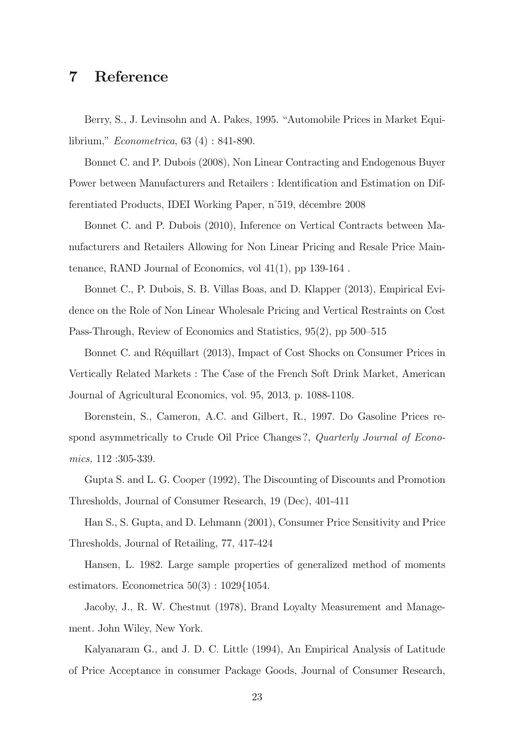### 7 Reference

Berry, S., J. Levinsohn and A. Pakes, 1995. "Automobile Prices in Market Equilibrium," Econometrica, 63 (4) : 841-890.

Bonnet C. and P. Dubois (2008), Non Linear Contracting and Endogenous Buyer Power between Manufacturers and Retailers : Identification and Estimation on Differentiated Products, IDEI Working Paper, n°519, décembre 2008

Bonnet C. and P. Dubois (2010), Inference on Vertical Contracts between Manufacturers and Retailers Allowing for Non Linear Pricing and Resale Price Maintenance, RAND Journal of Economics, vol 41(1), pp 139-164 .

Bonnet C., P. Dubois, S. B. Villas Boas, and D. Klapper (2013), Empirical Evidence on the Role of Non Linear Wholesale Pricing and Vertical Restraints on Cost Pass-Through, Review of Economics and Statistics, 95(2), pp 500—515

Bonnet C. and Réquillart (2013), Impact of Cost Shocks on Consumer Prices in Vertically Related Markets : The Case of the French Soft Drink Market, American Journal of Agricultural Economics, vol. 95, 2013, p. 1088-1108.

Borenstein, S., Cameron, A.C. and Gilbert, R., 1997. Do Gasoline Prices respond asymmetrically to Crude Oil Price Changes?, Quarterly Journal of Economics, 112 :305-339.

Gupta S. and L. G. Cooper (1992), The Discounting of Discounts and Promotion Thresholds, Journal of Consumer Research, 19 (Dec), 401-411

Han S., S. Gupta, and D. Lehmann (2001), Consumer Price Sensitivity and Price Thresholds, Journal of Retailing, 77, 417-424

Hansen, L. 1982. Large sample properties of generalized method of moments estimators. Econometrica  $50(3)$ :  $1029{1054}$ .

Jacoby, J., R. W. Chestnut (1978), Brand Loyalty Measurement and Management. John Wiley, New York.

Kalyanaram G., and J. D. C. Little (1994), An Empirical Analysis of Latitude of Price Acceptance in consumer Package Goods, Journal of Consumer Research,